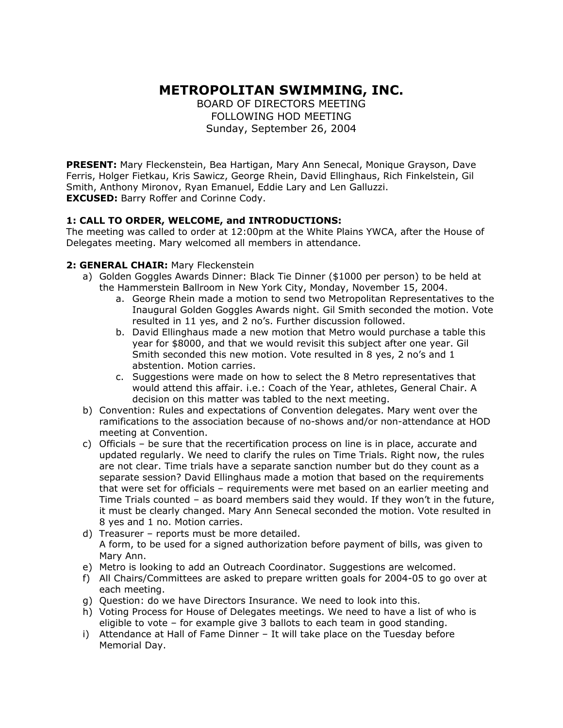# **METROPOLITAN SWIMMING, INC.**

BOARD OF DIRECTORS MEETING FOLLOWING HOD MEETING Sunday, September 26, 2004

**PRESENT:** Mary Fleckenstein, Bea Hartigan, Mary Ann Senecal, Monique Grayson, Dave Ferris, Holger Fietkau, Kris Sawicz, George Rhein, David Ellinghaus, Rich Finkelstein, Gil Smith, Anthony Mironov, Ryan Emanuel, Eddie Lary and Len Galluzzi. **EXCUSED:** Barry Roffer and Corinne Cody.

## **1: CALL TO ORDER, WELCOME, and INTRODUCTIONS:**

The meeting was called to order at 12:00pm at the White Plains YWCA, after the House of Delegates meeting. Mary welcomed all members in attendance.

### **2: GENERAL CHAIR:** Mary Fleckenstein

- a) Golden Goggles Awards Dinner: Black Tie Dinner (\$1000 per person) to be held at the Hammerstein Ballroom in New York City, Monday, November 15, 2004.
	- a. George Rhein made a motion to send two Metropolitan Representatives to the Inaugural Golden Goggles Awards night. Gil Smith seconded the motion. Vote resulted in 11 yes, and 2 no's. Further discussion followed.
	- b. David Ellinghaus made a new motion that Metro would purchase a table this year for \$8000, and that we would revisit this subject after one year. Gil Smith seconded this new motion. Vote resulted in 8 yes, 2 no's and 1 abstention. Motion carries.
	- c. Suggestions were made on how to select the 8 Metro representatives that would attend this affair. i.e.: Coach of the Year, athletes, General Chair. A decision on this matter was tabled to the next meeting.
- b) Convention: Rules and expectations of Convention delegates. Mary went over the ramifications to the association because of no-shows and/or non-attendance at HOD meeting at Convention.
- c) Officials be sure that the recertification process on line is in place, accurate and updated regularly. We need to clarify the rules on Time Trials. Right now, the rules are not clear. Time trials have a separate sanction number but do they count as a separate session? David Ellinghaus made a motion that based on the requirements that were set for officials – requirements were met based on an earlier meeting and Time Trials counted – as board members said they would. If they won't in the future, it must be clearly changed. Mary Ann Senecal seconded the motion. Vote resulted in 8 yes and 1 no. Motion carries.
- d) Treasurer reports must be more detailed. A form, to be used for a signed authorization before payment of bills, was given to Mary Ann.
- e) Metro is looking to add an Outreach Coordinator. Suggestions are welcomed.
- f) All Chairs/Committees are asked to prepare written goals for 2004-05 to go over at each meeting.
- g) Question: do we have Directors Insurance. We need to look into this.
- h) Voting Process for House of Delegates meetings. We need to have a list of who is eligible to vote – for example give 3 ballots to each team in good standing.
- i) Attendance at Hall of Fame Dinner It will take place on the Tuesday before Memorial Day.